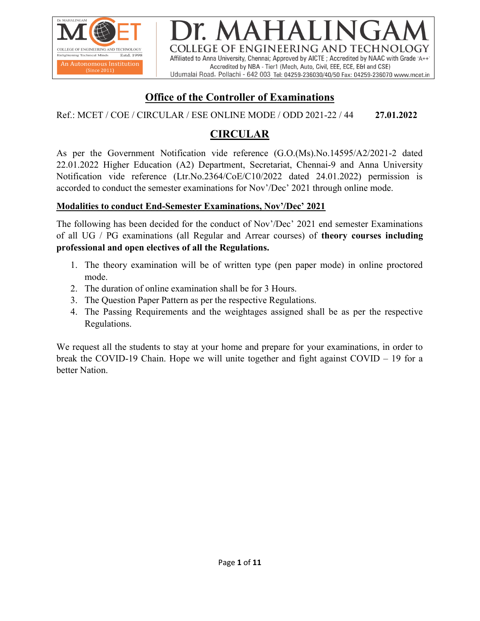

COLLEGE OF ENGINEERING AND TECHNOLOGY Affiliated to Anna University, Chennai; Approved by AICTE; Accredited by NAAC with Grade 'A++' Accredited by NBA - Tier1 (Mech, Auto, Civil, EEE, ECE, E&I and CSE) Udumalai Road, Pollachi - 642 003 Tel: 04259-236030/40/50 Fax: 04259-236070 www.mcet.in

# Office of the Controller of Examinations

Ref.: MCET / COE / CIRCULAR / ESE ONLINE MODE / ODD 2021-22 / 44 27.01.2022

# CIRCULAR

As per the Government Notification vide reference (G.O.(Ms).No.14595/A2/2021-2 dated 22.01.2022 Higher Education (A2) Department, Secretariat, Chennai-9 and Anna University Notification vide reference (Ltr.No.2364/CoE/C10/2022 dated 24.01.2022) permission is accorded to conduct the semester examinations for Nov'/Dec' 2021 through online mode.

### Modalities to conduct End-Semester Examinations, Nov'/Dec' 2021

The following has been decided for the conduct of Nov'/Dec' 2021 end semester Examinations of all UG / PG examinations (all Regular and Arrear courses) of theory courses including professional and open electives of all the Regulations.

- 1. The theory examination will be of written type (pen paper mode) in online proctored mode.
- 2. The duration of online examination shall be for 3 Hours.
- 3. The Question Paper Pattern as per the respective Regulations.
- 4. The Passing Requirements and the weightages assigned shall be as per the respective Regulations.

We request all the students to stay at your home and prepare for your examinations, in order to break the COVID-19 Chain. Hope we will unite together and fight against COVID – 19 for a better Nation.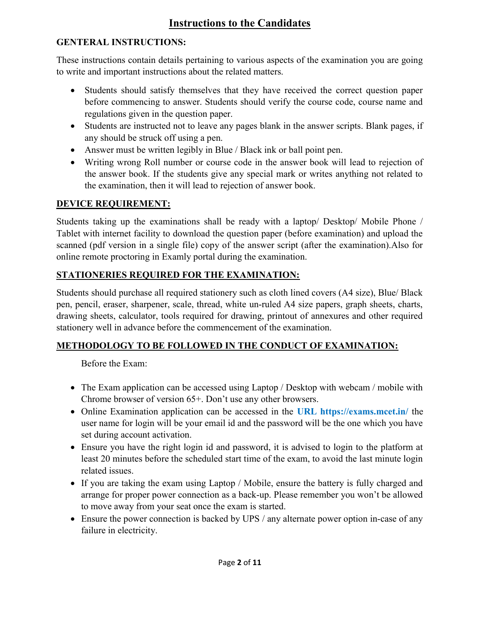# Instructions to the Candidates

# GENTERAL INSTRUCTIONS:

These instructions contain details pertaining to various aspects of the examination you are going to write and important instructions about the related matters.

- Students should satisfy themselves that they have received the correct question paper before commencing to answer. Students should verify the course code, course name and regulations given in the question paper.
- Students are instructed not to leave any pages blank in the answer scripts. Blank pages, if any should be struck off using a pen.
- Answer must be written legibly in Blue / Black ink or ball point pen.
- Writing wrong Roll number or course code in the answer book will lead to rejection of the answer book. If the students give any special mark or writes anything not related to the examination, then it will lead to rejection of answer book.

# DEVICE REQUIREMENT:

Students taking up the examinations shall be ready with a laptop/ Desktop/ Mobile Phone / Tablet with internet facility to download the question paper (before examination) and upload the scanned (pdf version in a single file) copy of the answer script (after the examination).Also for online remote proctoring in Examly portal during the examination.

# STATIONERIES REQUIRED FOR THE EXAMINATION:

Students should purchase all required stationery such as cloth lined covers (A4 size), Blue/ Black pen, pencil, eraser, sharpener, scale, thread, white un-ruled A4 size papers, graph sheets, charts, drawing sheets, calculator, tools required for drawing, printout of annexures and other required stationery well in advance before the commencement of the examination.

# METHODOLOGY TO BE FOLLOWED IN THE CONDUCT OF EXAMINATION:

Before the Exam:

- The Exam application can be accessed using Laptop / Desktop with webcam / mobile with Chrome browser of version 65+. Don't use any other browsers.
- Online Examination application can be accessed in the URL https://exams.mcet.in/ the user name for login will be your email id and the password will be the one which you have set during account activation.
- Ensure you have the right login id and password, it is advised to login to the platform at least 20 minutes before the scheduled start time of the exam, to avoid the last minute login related issues.
- If you are taking the exam using Laptop / Mobile, ensure the battery is fully charged and arrange for proper power connection as a back-up. Please remember you won't be allowed to move away from your seat once the exam is started.
- Ensure the power connection is backed by UPS / any alternate power option in-case of any failure in electricity.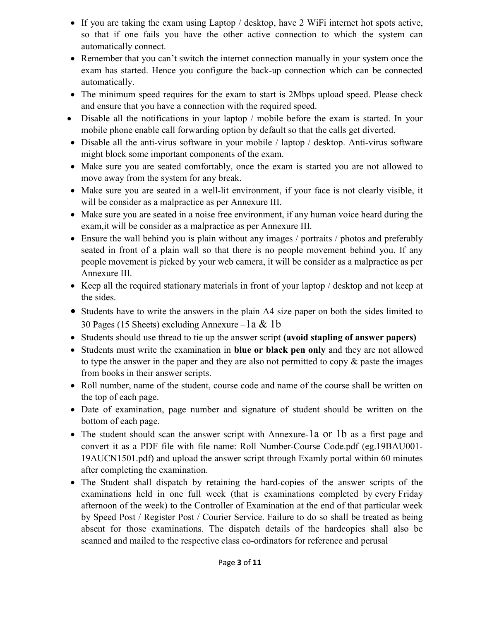- If you are taking the exam using Laptop / desktop, have 2 WiFi internet hot spots active, so that if one fails you have the other active connection to which the system can automatically connect.
- Remember that you can't switch the internet connection manually in your system once the exam has started. Hence you configure the back-up connection which can be connected automatically.
- The minimum speed requires for the exam to start is 2Mbps upload speed. Please check and ensure that you have a connection with the required speed.
- Disable all the notifications in your laptop / mobile before the exam is started. In your mobile phone enable call forwarding option by default so that the calls get diverted.
- Disable all the anti-virus software in your mobile / laptop / desktop. Anti-virus software might block some important components of the exam.
- Make sure you are seated comfortably, once the exam is started you are not allowed to move away from the system for any break.
- Make sure you are seated in a well-lit environment, if your face is not clearly visible, it will be consider as a malpractice as per Annexure III.
- Make sure you are seated in a noise free environment, if any human voice heard during the exam,it will be consider as a malpractice as per Annexure III.
- Ensure the wall behind you is plain without any images / portraits / photos and preferably seated in front of a plain wall so that there is no people movement behind you. If any people movement is picked by your web camera, it will be consider as a malpractice as per Annexure III.
- Keep all the required stationary materials in front of your laptop / desktop and not keep at the sides.
- Students have to write the answers in the plain A4 size paper on both the sides limited to 30 Pages (15 Sheets) excluding Annexure – 1a & 1b
- Students should use thread to tie up the answer script (avoid stapling of answer papers)
- Students must write the examination in blue or black pen only and they are not allowed to type the answer in the paper and they are also not permitted to copy  $\&$  paste the images from books in their answer scripts.
- Roll number, name of the student, course code and name of the course shall be written on the top of each page.
- Date of examination, page number and signature of student should be written on the bottom of each page.
- The student should scan the answer script with Annexure-1a or 1b as a first page and convert it as a PDF file with file name: Roll Number-Course Code.pdf (eg.19BAU001- 19AUCN1501.pdf) and upload the answer script through Examly portal within 60 minutes after completing the examination.
- The Student shall dispatch by retaining the hard-copies of the answer scripts of the examinations held in one full week (that is examinations completed by every Friday afternoon of the week) to the Controller of Examination at the end of that particular week by Speed Post / Register Post / Courier Service. Failure to do so shall be treated as being absent for those examinations. The dispatch details of the hardcopies shall also be scanned and mailed to the respective class co-ordinators for reference and perusal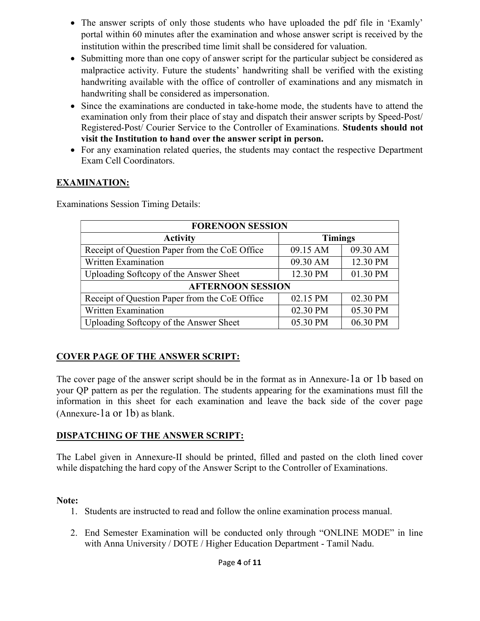- The answer scripts of only those students who have uploaded the pdf file in 'Examly' portal within 60 minutes after the examination and whose answer script is received by the institution within the prescribed time limit shall be considered for valuation.
- Submitting more than one copy of answer script for the particular subject be considered as malpractice activity. Future the students' handwriting shall be verified with the existing handwriting available with the office of controller of examinations and any mismatch in handwriting shall be considered as impersonation.
- Since the examinations are conducted in take-home mode, the students have to attend the examination only from their place of stay and dispatch their answer scripts by Speed-Post/ Registered-Post/ Courier Service to the Controller of Examinations. Students should not visit the Institution to hand over the answer script in person.
- For any examination related queries, the students may contact the respective Department Exam Cell Coordinators.

### EXAMINATION:

Examinations Session Timing Details:

| <b>FORENOON SESSION</b>                       |                |          |  |  |  |  |
|-----------------------------------------------|----------------|----------|--|--|--|--|
| <b>Activity</b>                               | <b>Timings</b> |          |  |  |  |  |
| Receipt of Question Paper from the CoE Office | 09.15 AM       | 09.30 AM |  |  |  |  |
| Written Examination                           | 09.30 AM       | 12.30 PM |  |  |  |  |
| Uploading Softcopy of the Answer Sheet        | 12.30 PM       | 01.30 PM |  |  |  |  |
| <b>AFTERNOON SESSION</b>                      |                |          |  |  |  |  |
| Receipt of Question Paper from the CoE Office | 02.15 PM       | 02.30 PM |  |  |  |  |
| Written Examination                           | 02.30 PM       | 05.30 PM |  |  |  |  |
| Uploading Softcopy of the Answer Sheet        | 05.30 PM       | 06.30 PM |  |  |  |  |

# COVER PAGE OF THE ANSWER SCRIPT:

The cover page of the answer script should be in the format as in Annexure-1a or 1b based on your QP pattern as per the regulation. The students appearing for the examinations must fill the information in this sheet for each examination and leave the back side of the cover page (Annexure-1a or 1b) as blank.

# DISPATCHING OF THE ANSWER SCRIPT:

The Label given in Annexure-II should be printed, filled and pasted on the cloth lined cover while dispatching the hard copy of the Answer Script to the Controller of Examinations.

### Note:

- 1. Students are instructed to read and follow the online examination process manual.
- 2. End Semester Examination will be conducted only through "ONLINE MODE" in line with Anna University / DOTE / Higher Education Department - Tamil Nadu.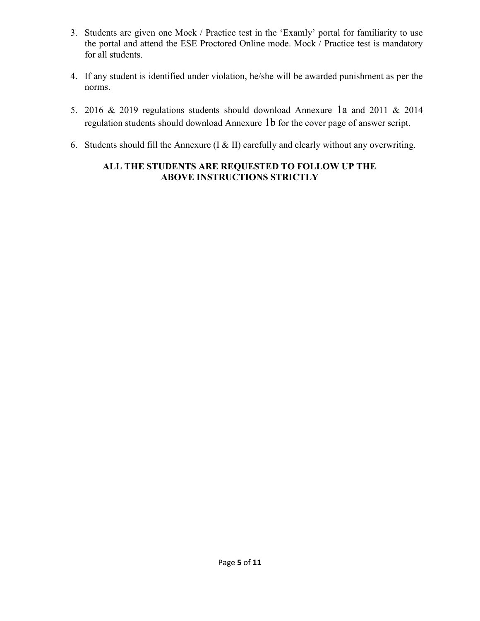- 3. Students are given one Mock / Practice test in the 'Examly' portal for familiarity to use the portal and attend the ESE Proctored Online mode. Mock / Practice test is mandatory for all students.
- 4. If any student is identified under violation, he/she will be awarded punishment as per the norms.
- 5. 2016 & 2019 regulations students should download Annexure 1a and 2011 & 2014 regulation students should download Annexure 1b for the cover page of answer script.
- 6. Students should fill the Annexure (I & II) carefully and clearly without any overwriting.

## ALL THE STUDENTS ARE REQUESTED TO FOLLOW UP THE ABOVE INSTRUCTIONS STRICTLY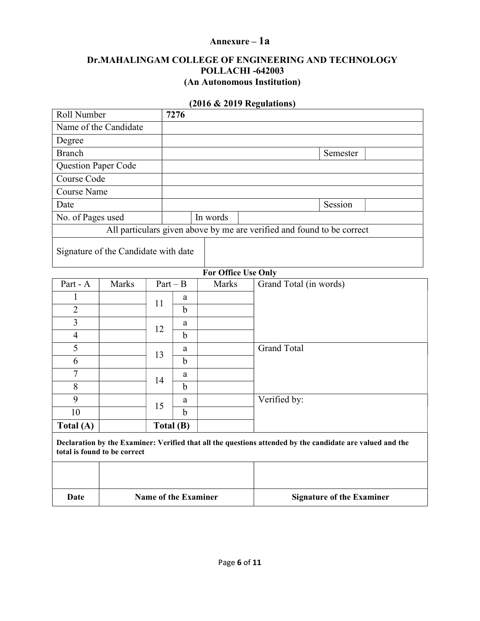### Annexure – 1a

#### Dr.MAHALINGAM COLLEGE OF ENGINEERING AND TECHNOLOGY POLLACHI -642003 (An Autonomous Institution)

#### (2016 & 2019 Regulations)

| Roll Number           |                                      |    | 7276                        |          |                                                                                                           |
|-----------------------|--------------------------------------|----|-----------------------------|----------|-----------------------------------------------------------------------------------------------------------|
| Name of the Candidate |                                      |    |                             |          |                                                                                                           |
| Degree                |                                      |    |                             |          |                                                                                                           |
| <b>Branch</b>         |                                      |    |                             |          | Semester                                                                                                  |
| Question Paper Code   |                                      |    |                             |          |                                                                                                           |
| Course Code           |                                      |    |                             |          |                                                                                                           |
| <b>Course Name</b>    |                                      |    |                             |          |                                                                                                           |
| Date                  |                                      |    |                             |          | Session                                                                                                   |
| No. of Pages used     |                                      |    |                             | In words |                                                                                                           |
|                       |                                      |    |                             |          | All particulars given above by me are verified and found to be correct                                    |
|                       | Signature of the Candidate with date |    |                             |          |                                                                                                           |
|                       |                                      |    |                             |          |                                                                                                           |
|                       |                                      |    | $Part - B$                  |          | For Office Use Only                                                                                       |
| Part - A              | Marks                                |    |                             | Marks    | Grand Total (in words)                                                                                    |
| 1<br>$\overline{2}$   |                                      | 11 | a<br>$\mathbf b$            |          |                                                                                                           |
| 3                     |                                      |    |                             |          |                                                                                                           |
| $\overline{4}$        |                                      | 12 | a<br>$\mathbf b$            |          |                                                                                                           |
| 5                     |                                      |    | a                           |          | <b>Grand Total</b>                                                                                        |
| 6                     |                                      | 13 | $\mathbf b$                 |          |                                                                                                           |
| $\overline{7}$        |                                      |    | a                           |          |                                                                                                           |
| 8                     |                                      | 14 | $\mathbf b$                 |          |                                                                                                           |
| 9                     |                                      |    | a                           |          | Verified by:                                                                                              |
| 10                    |                                      | 15 | $\mathbf b$                 |          |                                                                                                           |
| Total (A)             |                                      |    | Total (B)                   |          |                                                                                                           |
|                       | total is found to be correct         |    |                             |          | Declaration by the Examiner: Verified that all the questions attended by the candidate are valued and the |
|                       |                                      |    |                             |          |                                                                                                           |
| Date                  |                                      |    | <b>Name of the Examiner</b> |          | <b>Signature of the Examiner</b>                                                                          |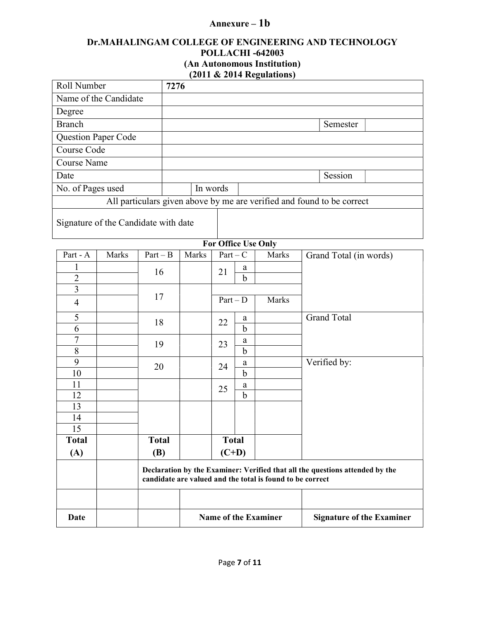# Annexure – 1b

#### Dr.MAHALINGAM COLLEGE OF ENGINEERING AND TECHNOLOGY POLLACHI -642003 (An Autonomous Institution) (2011 & 2014 Regulations)

| Roll Number                          |       | 7276       |       |            |             |                            |                                                                        |
|--------------------------------------|-------|------------|-------|------------|-------------|----------------------------|------------------------------------------------------------------------|
| Name of the Candidate                |       |            |       |            |             |                            |                                                                        |
| Degree                               |       |            |       |            |             |                            |                                                                        |
| <b>Branch</b>                        |       |            |       |            |             |                            | Semester                                                               |
| <b>Question Paper Code</b>           |       |            |       |            |             |                            |                                                                        |
| Course Code                          |       |            |       |            |             |                            |                                                                        |
| <b>Course Name</b>                   |       |            |       |            |             |                            |                                                                        |
| Date                                 |       |            |       |            |             |                            | Session                                                                |
| No. of Pages used                    |       |            |       | In words   |             |                            |                                                                        |
|                                      |       |            |       |            |             |                            | All particulars given above by me are verified and found to be correct |
| Signature of the Candidate with date |       |            |       |            |             |                            |                                                                        |
|                                      |       |            |       |            |             | <b>For Office Use Only</b> |                                                                        |
| Part - A                             | Marks | $Part - B$ | Marks | $Part - C$ |             | Marks                      | Grand Total (in words)                                                 |
|                                      |       | 16         |       | 21         | a           |                            |                                                                        |
| $\overline{2}$                       |       |            |       |            | $\mathbf b$ |                            |                                                                        |
| 3                                    |       | 17         |       |            |             |                            |                                                                        |
| $\overline{4}$                       |       |            |       | $Part - D$ |             | Marks                      |                                                                        |
| 5                                    |       | 18         |       | 22         | a           |                            | <b>Grand Total</b>                                                     |
| 6                                    |       |            |       |            | $\mathbf b$ |                            |                                                                        |
| 7                                    |       | 19         |       | 23         | a           |                            |                                                                        |
| 8<br>$\Omega$                        |       |            |       |            | $\mathbf b$ |                            | $T$ $T$ $T$ $T$ $T$ $T$ $T$ $T$                                        |

| 7            | 19           |  |              |             | 23                                                        | a                                                                            |  |  |
|--------------|--------------|--|--------------|-------------|-----------------------------------------------------------|------------------------------------------------------------------------------|--|--|
| 8            |              |  |              |             | $\mathbf b$                                               |                                                                              |  |  |
| 9            | 20           |  | 24           | a           |                                                           | Verified by:                                                                 |  |  |
| 10           |              |  |              | $\mathbf b$ |                                                           |                                                                              |  |  |
| 11           |              |  | 25           | a           |                                                           |                                                                              |  |  |
| 12           |              |  |              | $\mathbf b$ |                                                           |                                                                              |  |  |
| 13           |              |  |              |             |                                                           |                                                                              |  |  |
| 14           |              |  |              |             |                                                           |                                                                              |  |  |
| 15           |              |  |              |             |                                                           |                                                                              |  |  |
|              |              |  |              |             |                                                           |                                                                              |  |  |
| <b>Total</b> | <b>Total</b> |  | <b>Total</b> |             |                                                           |                                                                              |  |  |
| (A)          | <b>(B)</b>   |  | $(C+D)$      |             |                                                           |                                                                              |  |  |
|              |              |  |              |             | candidate are valued and the total is found to be correct | Declaration by the Examiner: Verified that all the questions attended by the |  |  |
|              |              |  |              |             |                                                           |                                                                              |  |  |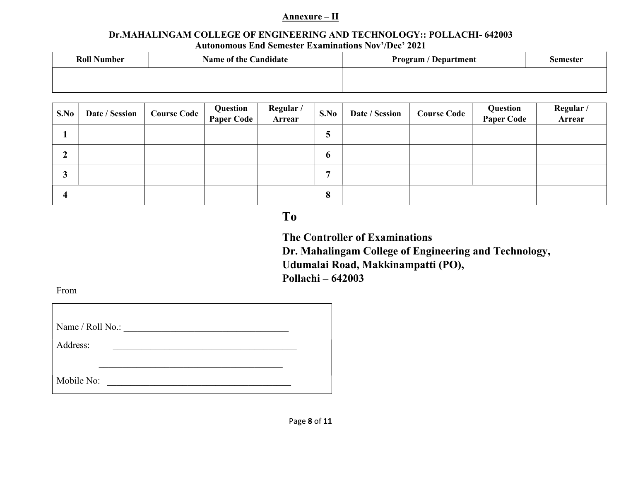#### Annexure – II

#### Dr.MAHALINGAM COLLEGE OF ENGINEERING AND TECHNOLOGY:: POLLACHI- 642003 Autonomous End Semester Examinations Nov'/Dec' 2021

| <b>Roll Number</b> | <b>Name of the Candidate</b> | <b>Program / Department</b> | <b>Semester</b> |
|--------------------|------------------------------|-----------------------------|-----------------|
|                    |                              |                             |                 |

| S.No | Date / Session | <b>Course Code</b> | Question<br><b>Paper Code</b> | Regular /<br>Arrear | S.No        | Date / Session | <b>Course Code</b> | Question<br><b>Paper Code</b> | Regular/<br>Arrear |
|------|----------------|--------------------|-------------------------------|---------------------|-------------|----------------|--------------------|-------------------------------|--------------------|
|      |                |                    |                               |                     | J           |                |                    |                               |                    |
| ◢    |                |                    |                               |                     | $\mathbf o$ |                |                    |                               |                    |
| J    |                |                    |                               |                     | п           |                |                    |                               |                    |
| 4    |                |                    |                               |                     | 8           |                |                    |                               |                    |

# To

 The Controller of Examinations Dr. Mahalingam College of Engineering and Technology, Udumalai Road, Makkinampatti (PO), Pollachi – 642003

From

| Name / Roll No.: |  |
|------------------|--|
| Address:         |  |
|                  |  |
| Mobile No:       |  |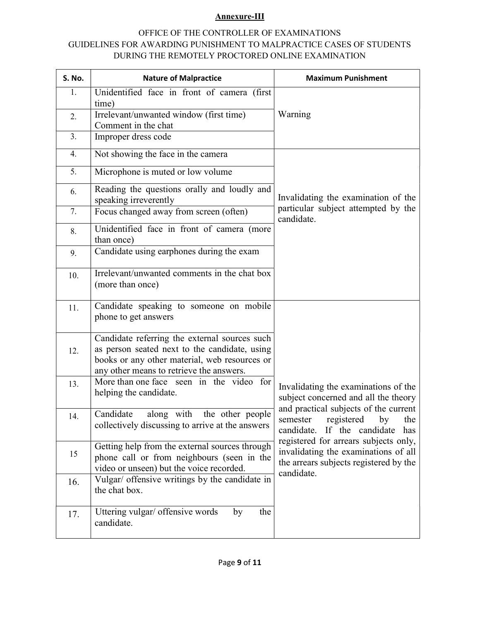#### Annexure-III

#### OFFICE OF THE CONTROLLER OF EXAMINATIONS GUIDELINES FOR AWARDING PUNISHMENT TO MALPRACTICE CASES OF STUDENTS DURING THE REMOTELY PROCTORED ONLINE EXAMINATION

| S. No. | <b>Nature of Malpractice</b>                                                                                                                                                                | <b>Maximum Punishment</b>                                                                                                             |  |  |  |  |
|--------|---------------------------------------------------------------------------------------------------------------------------------------------------------------------------------------------|---------------------------------------------------------------------------------------------------------------------------------------|--|--|--|--|
| 1.     | Unidentified face in front of camera (first                                                                                                                                                 |                                                                                                                                       |  |  |  |  |
|        | time)<br>Irrelevant/unwanted window (first time)                                                                                                                                            | Warning                                                                                                                               |  |  |  |  |
| 2.     | Comment in the chat                                                                                                                                                                         |                                                                                                                                       |  |  |  |  |
| 3.     | Improper dress code                                                                                                                                                                         |                                                                                                                                       |  |  |  |  |
| 4.     | Not showing the face in the camera                                                                                                                                                          |                                                                                                                                       |  |  |  |  |
| 5.     | Microphone is muted or low volume                                                                                                                                                           |                                                                                                                                       |  |  |  |  |
| 6.     | Reading the questions orally and loudly and<br>speaking irreverently                                                                                                                        | Invalidating the examination of the                                                                                                   |  |  |  |  |
| 7.     | Focus changed away from screen (often)                                                                                                                                                      | particular subject attempted by the<br>candidate.                                                                                     |  |  |  |  |
| 8.     | Unidentified face in front of camera (more<br>than once)                                                                                                                                    |                                                                                                                                       |  |  |  |  |
| 9.     | Candidate using earphones during the exam                                                                                                                                                   |                                                                                                                                       |  |  |  |  |
| 10.    | Irrelevant/unwanted comments in the chat box<br>(more than once)                                                                                                                            |                                                                                                                                       |  |  |  |  |
| 11.    | Candidate speaking to someone on mobile<br>phone to get answers                                                                                                                             |                                                                                                                                       |  |  |  |  |
| 12.    | Candidate referring the external sources such<br>as person seated next to the candidate, using<br>books or any other material, web resources or<br>any other means to retrieve the answers. |                                                                                                                                       |  |  |  |  |
| 13.    | More than one face seen in the video for<br>helping the candidate.                                                                                                                          | Invalidating the examinations of the<br>subject concerned and all the theory                                                          |  |  |  |  |
| 14.    | Candidate<br>along with<br>the other people<br>collectively discussing to arrive at the answers                                                                                             | and practical subjects of the current<br>semester registered by the<br>candidate.<br>If the candidate<br>has                          |  |  |  |  |
| 15     | Getting help from the external sources through<br>phone call or from neighbours (seen in the<br>video or unseen) but the voice recorded.                                                    | registered for arrears subjects only,<br>invalidating the examinations of all<br>the arrears subjects registered by the<br>candidate. |  |  |  |  |
| 16.    | Vulgar/ offensive writings by the candidate in<br>the chat box.                                                                                                                             |                                                                                                                                       |  |  |  |  |
| 17.    | Uttering vulgar/ offensive words<br>the<br>by<br>candidate.                                                                                                                                 |                                                                                                                                       |  |  |  |  |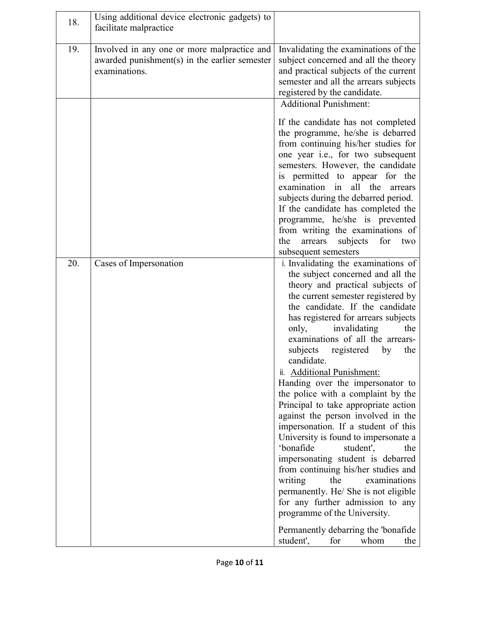| 18. | Using additional device electronic gadgets) to<br>facilitate malpractice                                      |                                                                                                                                                                                                                                                                                                                                                                                                                                                                                                                                                                                                                                                                                                                                                                                                                                                                                                                                                                 |
|-----|---------------------------------------------------------------------------------------------------------------|-----------------------------------------------------------------------------------------------------------------------------------------------------------------------------------------------------------------------------------------------------------------------------------------------------------------------------------------------------------------------------------------------------------------------------------------------------------------------------------------------------------------------------------------------------------------------------------------------------------------------------------------------------------------------------------------------------------------------------------------------------------------------------------------------------------------------------------------------------------------------------------------------------------------------------------------------------------------|
| 19. | Involved in any one or more malpractice and<br>awarded punishment(s) in the earlier semester<br>examinations. | Invalidating the examinations of the<br>subject concerned and all the theory<br>and practical subjects of the current<br>semester and all the arrears subjects<br>registered by the candidate.<br><b>Additional Punishment:</b>                                                                                                                                                                                                                                                                                                                                                                                                                                                                                                                                                                                                                                                                                                                                 |
|     |                                                                                                               | If the candidate has not completed<br>the programme, he/she is debarred<br>from continuing his/her studies for<br>one year i.e., for two subsequent<br>semesters. However, the candidate<br>is permitted to appear for the<br>all the<br>examination in<br>arrears<br>subjects during the debarred period.<br>If the candidate has completed the<br>programme, he/she is prevented<br>from writing the examinations of<br>arrears<br>subjects<br>for<br>the<br>two<br>subsequent semesters                                                                                                                                                                                                                                                                                                                                                                                                                                                                      |
| 20. | Cases of Impersonation                                                                                        | i. Invalidating the examinations of<br>the subject concerned and all the<br>theory and practical subjects of<br>the current semester registered by<br>the candidate. If the candidate<br>has registered for arrears subjects<br>invalidating<br>only,<br>the<br>examinations of all the arrears-<br>subjects<br>registered<br>the<br>by<br>candidate.<br>ii. Additional Punishment:<br>Handing over the impersonator to<br>the police with a complaint by the<br>Principal to take appropriate action<br>against the person involved in the<br>impersonation. If a student of this<br>University is found to impersonate a<br>'bonafide<br>student',<br>the<br>impersonating student is debarred<br>from continuing his/her studies and<br>writing<br>the<br>examinations<br>permanently. He/ She is not eligible<br>for any further admission to any<br>programme of the University.<br>Permanently debarring the 'bonafide<br>student',<br>for<br>whom<br>the |